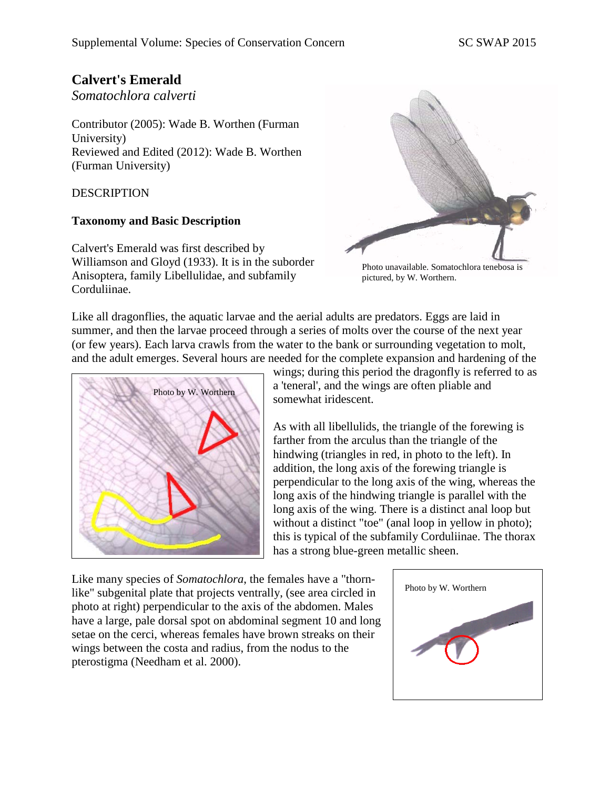# **Calvert's Emerald**

*Somatochlora calverti*

Contributor (2005): Wade B. Worthen (Furman University) Reviewed and Edited (2012): Wade B. Worthen (Furman University)

### DESCRIPTION

### **Taxonomy and Basic Description**

Calvert's Emerald was first described by Williamson and Gloyd (1933). It is in the suborder Anisoptera, family Libellulidae, and subfamily Corduliinae.



Photo unavailable. Somatochlora tenebosa is pictured, by W. Worthern.

Like all dragonflies, the aquatic larvae and the aerial adults are predators. Eggs are laid in summer, and then the larvae proceed through a series of molts over the course of the next year (or few years). Each larva crawls from the water to the bank or surrounding vegetation to molt, and the adult emerges. Several hours are needed for the complete expansion and hardening of the



wings; during this period the dragonfly is referred to as a 'teneral', and the wings are often pliable and somewhat iridescent.

As with all libellulids, the triangle of the forewing is farther from the arculus than the triangle of the hindwing (triangles in red, in photo to the left). In addition, the long axis of the forewing triangle is perpendicular to the long axis of the wing, whereas the long axis of the hindwing triangle is parallel with the long axis of the wing. There is a distinct anal loop but without a distinct "toe" (anal loop in yellow in photo); this is typical of the subfamily Corduliinae. The thorax has a strong blue-green metallic sheen.

Like many species of *Somatochlora*, the females have a "thornlike" subgenital plate that projects ventrally, (see area circled in photo at right) perpendicular to the axis of the abdomen. Males have a large, pale dorsal spot on abdominal segment 10 and long setae on the cerci, whereas females have brown streaks on their wings between the costa and radius, from the nodus to the pterostigma (Needham et al. 2000).

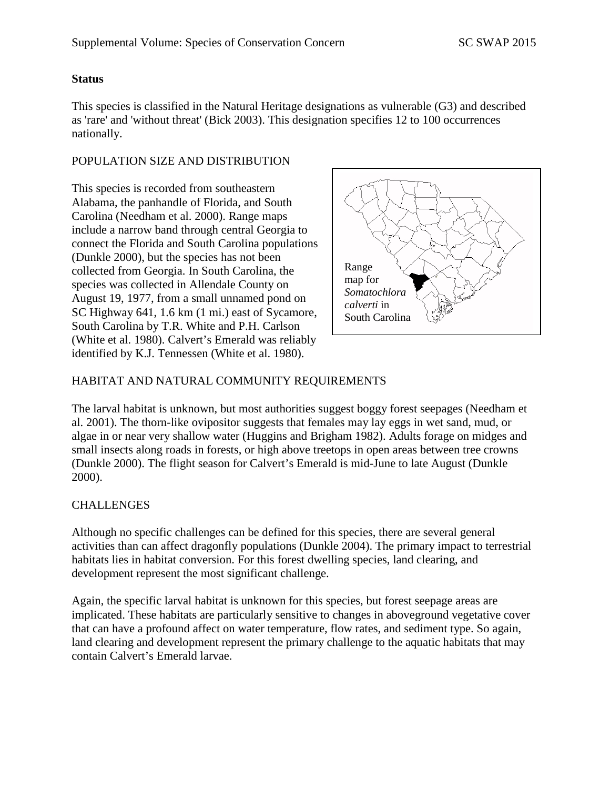### **Status**

This species is classified in the Natural Heritage designations as vulnerable (G3) and described as 'rare' and 'without threat' (Bick 2003). This designation specifies 12 to 100 occurrences nationally.

### POPULATION SIZE AND DISTRIBUTION

This species is recorded from southeastern Alabama, the panhandle of Florida, and South Carolina (Needham et al. 2000). Range maps include a narrow band through central Georgia to connect the Florida and South Carolina populations (Dunkle 2000), but the species has not been collected from Georgia. In South Carolina, the species was collected in Allendale County on August 19, 1977, from a small unnamed pond on SC Highway 641, 1.6 km (1 mi.) east of Sycamore, South Carolina by T.R. White and P.H. Carlson (White et al. 1980). Calvert's Emerald was reliably identified by K.J. Tennessen (White et al. 1980).



# HABITAT AND NATURAL COMMUNITY REQUIREMENTS

The larval habitat is unknown, but most authorities suggest boggy forest seepages (Needham et al. 2001). The thorn-like ovipositor suggests that females may lay eggs in wet sand, mud, or algae in or near very shallow water (Huggins and Brigham 1982). Adults forage on midges and small insects along roads in forests, or high above treetops in open areas between tree crowns (Dunkle 2000). The flight season for Calvert's Emerald is mid-June to late August (Dunkle 2000).

# **CHALLENGES**

Although no specific challenges can be defined for this species, there are several general activities than can affect dragonfly populations (Dunkle 2004). The primary impact to terrestrial habitats lies in habitat conversion. For this forest dwelling species, land clearing, and development represent the most significant challenge.

Again, the specific larval habitat is unknown for this species, but forest seepage areas are implicated. These habitats are particularly sensitive to changes in aboveground vegetative cover that can have a profound affect on water temperature, flow rates, and sediment type. So again, land clearing and development represent the primary challenge to the aquatic habitats that may contain Calvert's Emerald larvae.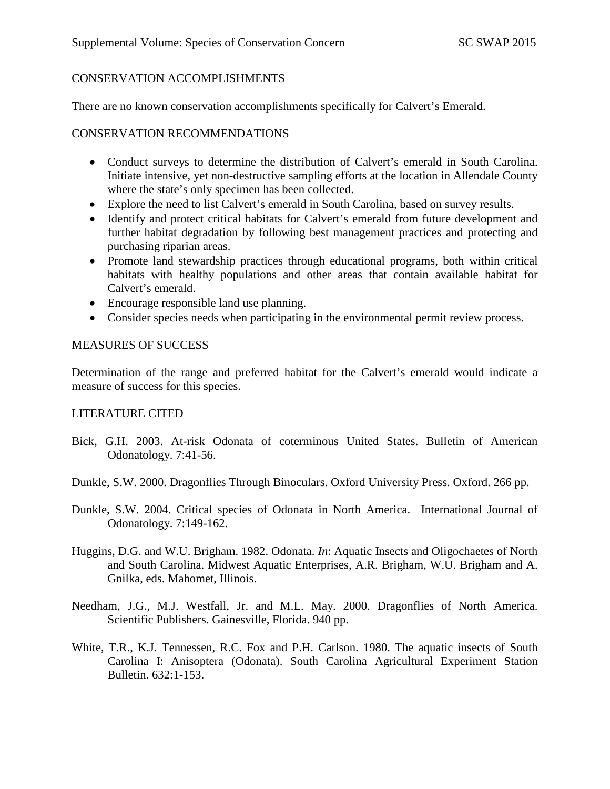#### CONSERVATION ACCOMPLISHMENTS

There are no known conservation accomplishments specifically for Calvert's Emerald.

#### CONSERVATION RECOMMENDATIONS

- Conduct surveys to determine the distribution of Calvert's emerald in South Carolina. Initiate intensive, yet non-destructive sampling efforts at the location in Allendale County where the state's only specimen has been collected.
- Explore the need to list Calvert's emerald in South Carolina, based on survey results.
- Identify and protect critical habitats for Calvert's emerald from future development and further habitat degradation by following best management practices and protecting and purchasing riparian areas.
- Promote land stewardship practices through educational programs, both within critical habitats with healthy populations and other areas that contain available habitat for Calvert's emerald.
- Encourage responsible land use planning.
- Consider species needs when participating in the environmental permit review process.

### MEASURES OF SUCCESS

Determination of the range and preferred habitat for the Calvert's emerald would indicate a measure of success for this species.

### LITERATURE CITED

- Bick, G.H. 2003. At-risk Odonata of coterminous United States. Bulletin of American Odonatology. 7:41-56.
- Dunkle, S.W. 2000. Dragonflies Through Binoculars. Oxford University Press. Oxford. 266 pp.
- Dunkle, S.W. 2004. Critical species of Odonata in North America. International Journal of Odonatology. 7:149-162.
- Huggins, D.G. and W.U. Brigham. 1982. Odonata. *In*: Aquatic Insects and Oligochaetes of North and South Carolina. Midwest Aquatic Enterprises, A.R. Brigham, W.U. Brigham and A. Gnilka, eds. Mahomet, Illinois.
- Needham, J.G., M.J. Westfall, Jr. and M.L. May. 2000. Dragonflies of North America. Scientific Publishers. Gainesville, Florida. 940 pp.
- White, T.R., K.J. Tennessen, R.C. Fox and P.H. Carlson. 1980. The aquatic insects of South Carolina I: Anisoptera (Odonata). South Carolina Agricultural Experiment Station Bulletin. 632:1-153.